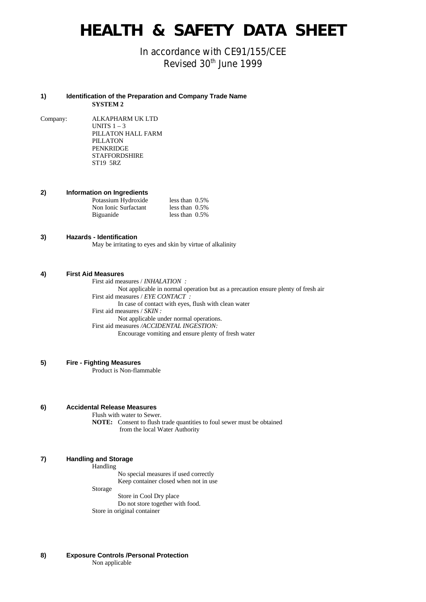# **HEALTH & SAFETY DATA SHEET**

In accordance with CE91/155/CEE Revised 30<sup>th</sup> June 1999

#### **1) Identification of the Preparation and Company Trade Name SYSTEM 2**

Company: ALKAPHARM UK LTD UNITS  $1 - 3$ PILLATON HALL FARM PILLATON PENKRIDGE STAFFORDSHIRE ST19 5RZ

**2) Information on Ingredients**

| Potassium Hydroxide  | less than $0.5\%$ |  |
|----------------------|-------------------|--|
| Non Ionic Surfactant | less than $0.5\%$ |  |
| Biguanide            | less than $0.5\%$ |  |

#### **3) Hazards - Identification**

May be irritating to eyes and skin by virtue of alkalinity

#### **4) First Aid Measures**

First aid measures / *INHALATION :* Not applicable in normal operation but as a precaution ensure plenty of fresh air First aid measures / *EYE CONTACT :* In case of contact with eyes, flush with clean water First aid measures / *SKIN :* Not applicable under normal operations. First aid measures */ACCIDENTAL INGESTION:* Encourage vomiting and ensure plenty of fresh water

## **5) Fire - Fighting Measures**

Product is Non-flammable

#### **6) Accidental Release Measures**

Flush with water to Sewer.

**NOTE:** Consent to flush trade quantities to foul sewer must be obtained from the local Water Authority

## **7) Handling and Storage**

**Handling** 

No special measures if used correctly Keep container closed when not in use

Storage

Store in Cool Dry place Do not store together with food. Store in original container

**8) Exposure Controls /Personal Protection** Non applicable